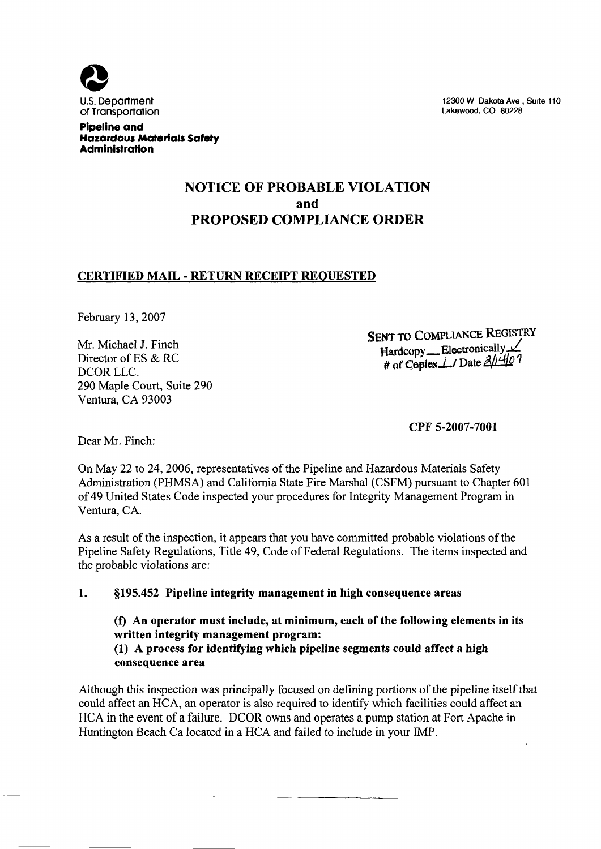

12300 W Dakota Ave, Suite 110 Lakewood, CO 80228

### Pipeline and Hazardous Materials Safety **Administration**

## NOTICE OF PROBABLE VIOLATION and PROPOSED COMPLIANCE ORDER

## CERTIFIED MAIL - RETURN RECEIPT REQUESTED

February 13, 2007

Mr. Michael J. Finch Director of ES & RC DCOR LLC. 290 Maple Court, Suite 290 Ventura, CA 93003

SENT TO COMPLIANCE REGISTRY Hardcopy \_\_ Electronically # of Copies  $\angle$ / Date  $\frac{\partial}{\partial t}$  + O

CPF 5-2007-7001

Dear Mr. Finch:

On May 22 to 24, 2006, representatives of the Pipeline and Hazardous Materials Safety Administration (PHMSA) and California State Fire Marshal {CSFM) pursuant to Chapter 601 of 49 United States Code inspected your procedures for Integrity Management Program in Ventura, CA,

As a result of the inspection, it appears that you have committed probable violations of the Pipeline Safety Regulations, Title 49, Code of Federal Regulations. The items inspected and the probable violations are:

#### $\mathbf{1}$ . \$195. 452 Pipeline integrity management in high consequence areas

(f) An operator must include, at minimum, each of the following elements in its written integrity management program: (1) A process for identifying which pipeline segments could affect a high consequence area

Although this inspection was principally focused on defining portions of the pipeline itself that could affect an HCA, an operator is also required to identify which facilities could affect an HCA in the event of a failure. DCOR owns and operates a pump station at Fort Apache in Huntington Beach Ca located in a HCA and failed to include in your IMP.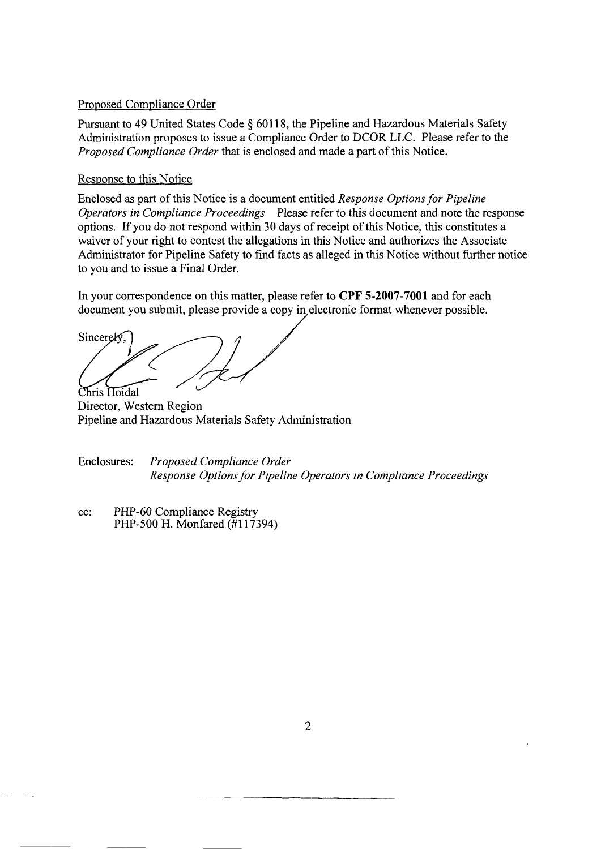### Proposed Compliance Order

Pursuant to 49 United States Code \$ 60118, the Pipeline and Hazardous Materials Safety Administration proposes to issue a Compliance Order to DCOR LLC. Please refer to the Proposed Compliance Order that is enclosed and made a part of this Notice.

### Response to this Notice

Enclosed as part of this Notice is a document entitled Response Options for Pipeline Operators in Compliance Proceedings Please refer to this document and note the response options. If you do not respond within 30 days of receipt of this Notice, this constitutes a waiver of your right to contest the allegations in this Notice and authorizes the Associate Administrator for Pipeline Safety to find facts as alleged in this Notice without further notice to you and to issue a Final Order.

In your correspondence on this matter, please refer to CPF 5-2007-7001 and for each document you submit, please provide a copy in electronic format whenever possible.

Sincerely. Chris Hoidal

Director, Western Region Pipeline and Hazardous Materials Safety Administration

Enclosures: Proposed Compliance Order Response Options for Pipeline Operators in Compliance Proceedings

cc: PHP-60 Compliance Registry PHP-500 H. Monfared  $(\frac{1}{2}117394)$